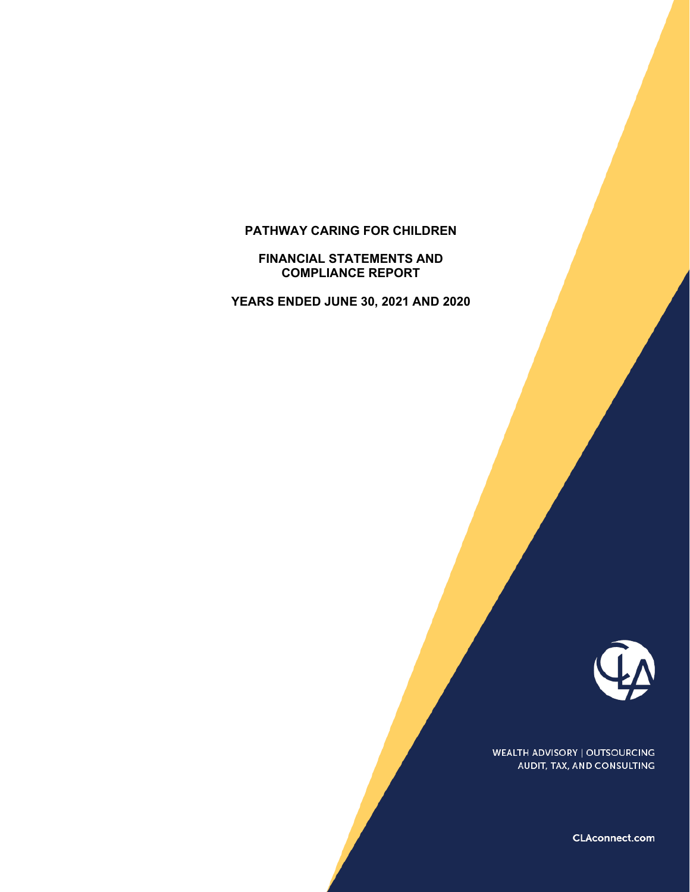# **PATHWAY CARING FOR CHILDREN**

**FINANCIAL STATEMENTS AND COMPLIANCE REPORT**

**YEARS ENDED JUNE 30, 2021 AND 2020**



**WEALTH ADVISORY | OUTSOURCING** AUDIT, TAX, AND CONSULTING

CLAconnect.com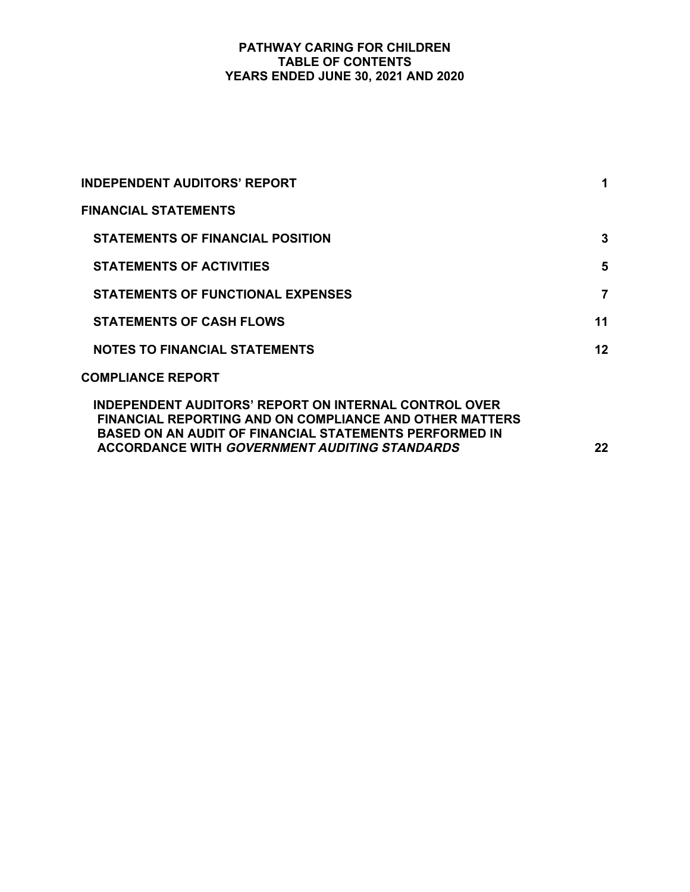# **PATHWAY CARING FOR CHILDREN TABLE OF CONTENTS YEARS ENDED JUNE 30, 2021 AND 2020**

| <b>INDEPENDENT AUDITORS' REPORT</b>                                                                                                                                                                                                              |    |
|--------------------------------------------------------------------------------------------------------------------------------------------------------------------------------------------------------------------------------------------------|----|
| <b>FINANCIAL STATEMENTS</b>                                                                                                                                                                                                                      |    |
| <b>STATEMENTS OF FINANCIAL POSITION</b>                                                                                                                                                                                                          | 3  |
| <b>STATEMENTS OF ACTIVITIES</b>                                                                                                                                                                                                                  | 5  |
| <b>STATEMENTS OF FUNCTIONAL EXPENSES</b>                                                                                                                                                                                                         | 7  |
| <b>STATEMENTS OF CASH FLOWS</b>                                                                                                                                                                                                                  | 11 |
| <b>NOTES TO FINANCIAL STATEMENTS</b>                                                                                                                                                                                                             | 12 |
| <b>COMPLIANCE REPORT</b>                                                                                                                                                                                                                         |    |
| INDEPENDENT AUDITORS' REPORT ON INTERNAL CONTROL OVER<br><b>FINANCIAL REPORTING AND ON COMPLIANCE AND OTHER MATTERS</b><br><b>BASED ON AN AUDIT OF FINANCIAL STATEMENTS PERFORMED IN</b><br><b>ACCORDANCE WITH GOVERNMENT AUDITING STANDARDS</b> | 22 |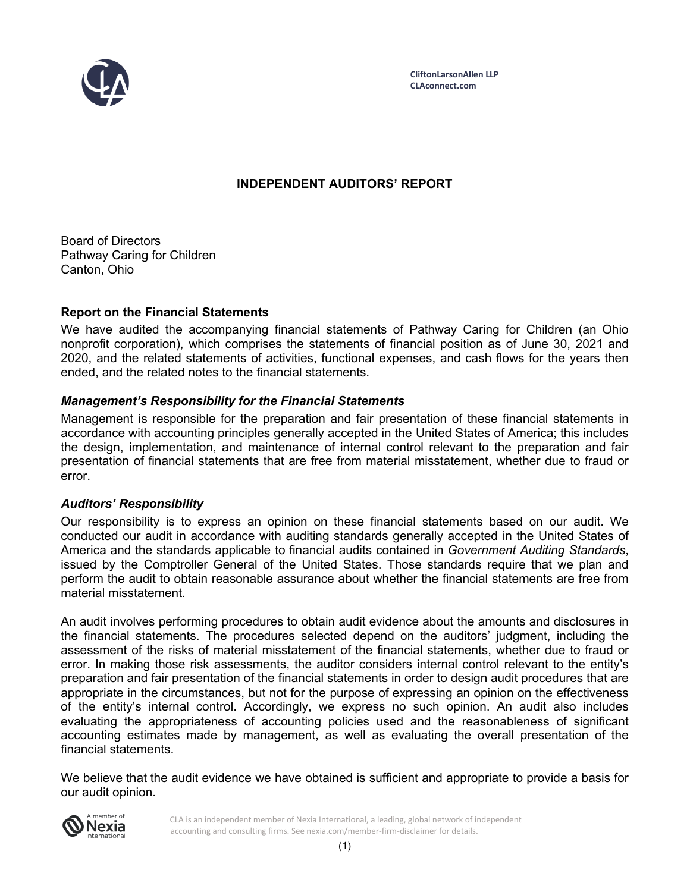

**CliftonLarsonAllen LLP CLAconnect.com**

# **INDEPENDENT AUDITORS' REPORT**

Board of Directors Pathway Caring for Children Canton, Ohio

## **Report on the Financial Statements**

We have audited the accompanying financial statements of Pathway Caring for Children (an Ohio nonprofit corporation), which comprises the statements of financial position as of June 30, 2021 and 2020, and the related statements of activities, functional expenses, and cash flows for the years then ended, and the related notes to the financial statements.

## *Management's Responsibility for the Financial Statements*

Management is responsible for the preparation and fair presentation of these financial statements in accordance with accounting principles generally accepted in the United States of America; this includes the design, implementation, and maintenance of internal control relevant to the preparation and fair presentation of financial statements that are free from material misstatement, whether due to fraud or error.

## *Auditors' Responsibility*

Our responsibility is to express an opinion on these financial statements based on our audit. We conducted our audit in accordance with auditing standards generally accepted in the United States of America and the standards applicable to financial audits contained in *Government Auditing Standards*, issued by the Comptroller General of the United States. Those standards require that we plan and perform the audit to obtain reasonable assurance about whether the financial statements are free from material misstatement.

An audit involves performing procedures to obtain audit evidence about the amounts and disclosures in the financial statements. The procedures selected depend on the auditors' judgment, including the assessment of the risks of material misstatement of the financial statements, whether due to fraud or error. In making those risk assessments, the auditor considers internal control relevant to the entity's preparation and fair presentation of the financial statements in order to design audit procedures that are appropriate in the circumstances, but not for the purpose of expressing an opinion on the effectiveness of the entity's internal control. Accordingly, we express no such opinion. An audit also includes evaluating the appropriateness of accounting policies used and the reasonableness of significant accounting estimates made by management, as well as evaluating the overall presentation of the financial statements.

We believe that the audit evidence we have obtained is sufficient and appropriate to provide a basis for our audit opinion.



CLA is an independent member of Nexia International, a leading, global network of independent accounting and consulting firms. See nexia.com/member-firm-disclaimer for details.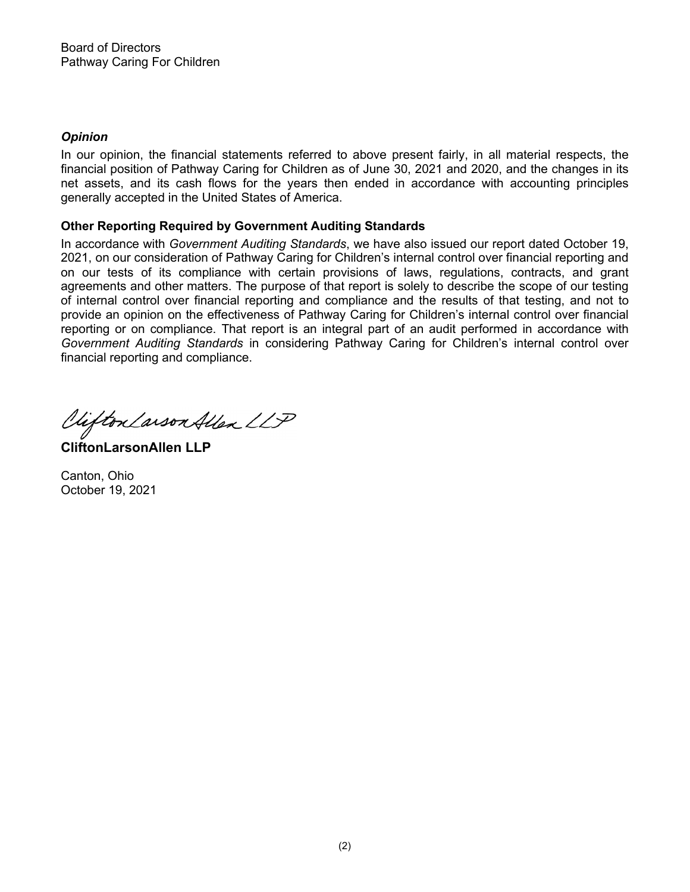# *Opinion*

In our opinion, the financial statements referred to above present fairly, in all material respects, the financial position of Pathway Caring for Children as of June 30, 2021 and 2020, and the changes in its net assets, and its cash flows for the years then ended in accordance with accounting principles generally accepted in the United States of America.

# **Other Reporting Required by Government Auditing Standards**

In accordance with *Government Auditing Standards*, we have also issued our report dated October 19, 2021, on our consideration of Pathway Caring for Children's internal control over financial reporting and on our tests of its compliance with certain provisions of laws, regulations, contracts, and grant agreements and other matters. The purpose of that report is solely to describe the scope of our testing of internal control over financial reporting and compliance and the results of that testing, and not to provide an opinion on the effectiveness of Pathway Caring for Children's internal control over financial reporting or on compliance. That report is an integral part of an audit performed in accordance with *Government Auditing Standards* in considering Pathway Caring for Children's internal control over financial reporting and compliance.

Viifton Larson Allen LLP

**CliftonLarsonAllen LLP**

Canton, Ohio October 19, 2021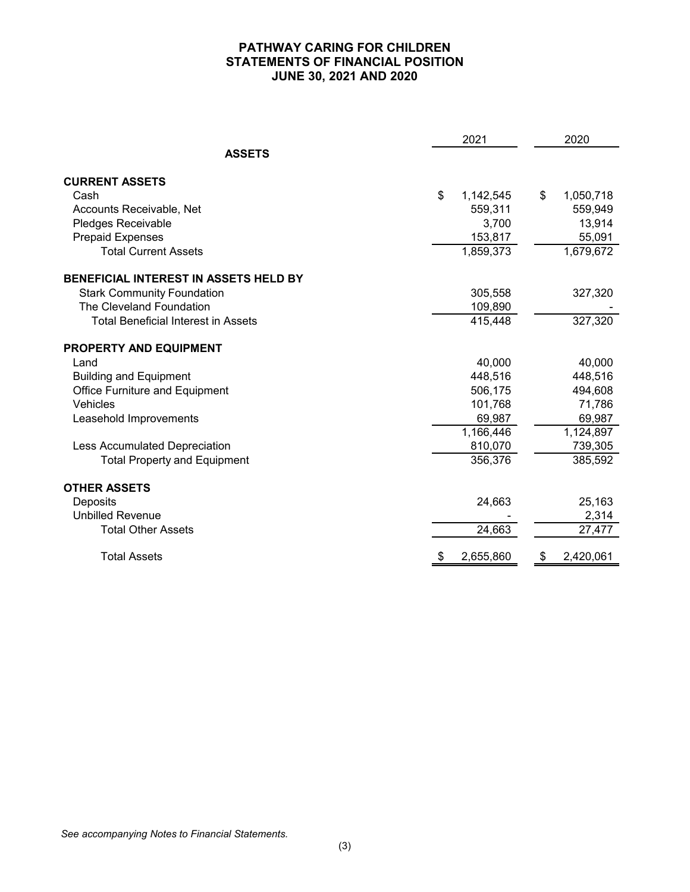# **PATHWAY CARING FOR CHILDREN STATEMENTS OF FINANCIAL POSITION JUNE 30, 2021 AND 2020**

|                                              | 2021            | 2020            |
|----------------------------------------------|-----------------|-----------------|
| <b>ASSETS</b>                                |                 |                 |
| <b>CURRENT ASSETS</b>                        |                 |                 |
| Cash                                         | \$<br>1,142,545 | \$<br>1,050,718 |
| Accounts Receivable, Net                     | 559,311         | 559,949         |
| Pledges Receivable                           | 3,700           | 13,914          |
| <b>Prepaid Expenses</b>                      | 153,817         | 55,091          |
| <b>Total Current Assets</b>                  | 1,859,373       | 1,679,672       |
| <b>BENEFICIAL INTEREST IN ASSETS HELD BY</b> |                 |                 |
| <b>Stark Community Foundation</b>            | 305,558         | 327,320         |
| The Cleveland Foundation                     | 109,890         |                 |
| <b>Total Beneficial Interest in Assets</b>   | 415,448         | 327,320         |
| PROPERTY AND EQUIPMENT                       |                 |                 |
| Land                                         | 40,000          | 40,000          |
| <b>Building and Equipment</b>                | 448,516         | 448,516         |
| <b>Office Furniture and Equipment</b>        | 506,175         | 494,608         |
| Vehicles                                     | 101,768         | 71,786          |
| Leasehold Improvements                       | 69,987          | 69,987          |
|                                              | 1,166,446       | 1,124,897       |
| Less Accumulated Depreciation                | 810,070         | 739,305         |
| <b>Total Property and Equipment</b>          | 356,376         | 385,592         |
| <b>OTHER ASSETS</b>                          |                 |                 |
| Deposits                                     | 24,663          | 25,163          |
| <b>Unbilled Revenue</b>                      |                 | 2,314           |
| <b>Total Other Assets</b>                    | 24,663          | 27,477          |
| <b>Total Assets</b>                          | 2,655,860<br>\$ | 2,420,061<br>\$ |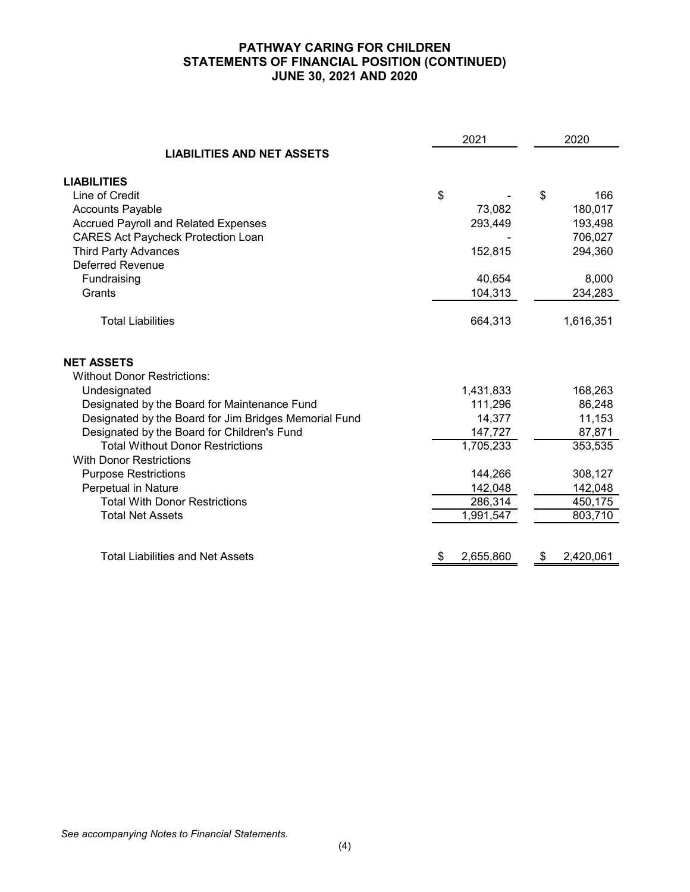# **PATHWAY CARING FOR CHILDREN STATEMENTS OF FINANCIAL POSITION (CONTINUED) JUNE 30, 2021 AND 2020**

|                                                              | 2021 |                      | 2020              |  |  |
|--------------------------------------------------------------|------|----------------------|-------------------|--|--|
| <b>LIABILITIES AND NET ASSETS</b>                            |      |                      |                   |  |  |
| <b>LIABILITIES</b>                                           |      |                      |                   |  |  |
| Line of Credit                                               | \$   |                      | \$<br>166         |  |  |
| <b>Accounts Payable</b>                                      |      | 73,082               | 180,017           |  |  |
| <b>Accrued Payroll and Related Expenses</b>                  |      | 293,449              | 193,498           |  |  |
| <b>CARES Act Paycheck Protection Loan</b>                    |      |                      | 706,027           |  |  |
| <b>Third Party Advances</b>                                  |      | 152,815              | 294,360           |  |  |
| <b>Deferred Revenue</b>                                      |      |                      |                   |  |  |
| Fundraising                                                  |      | 40,654               | 8,000             |  |  |
| Grants                                                       |      | 104,313              | 234,283           |  |  |
| <b>Total Liabilities</b>                                     |      | 664,313              | 1,616,351         |  |  |
| <b>NET ASSETS</b><br><b>Without Donor Restrictions:</b>      |      |                      |                   |  |  |
|                                                              |      |                      |                   |  |  |
| Undesignated<br>Designated by the Board for Maintenance Fund |      | 1,431,833<br>111,296 | 168,263<br>86,248 |  |  |
| Designated by the Board for Jim Bridges Memorial Fund        |      | 14,377               | 11,153            |  |  |
| Designated by the Board for Children's Fund                  |      | 147,727              | 87,871            |  |  |
| <b>Total Without Donor Restrictions</b>                      |      | 1,705,233            | 353,535           |  |  |
| <b>With Donor Restrictions</b>                               |      |                      |                   |  |  |
| <b>Purpose Restrictions</b>                                  |      | 144,266              | 308,127           |  |  |
| Perpetual in Nature                                          |      | 142,048              | 142,048           |  |  |
| <b>Total With Donor Restrictions</b>                         |      | 286,314              | 450,175           |  |  |
| <b>Total Net Assets</b>                                      |      | 1,991,547            | 803,710           |  |  |
|                                                              |      |                      |                   |  |  |
| <b>Total Liabilities and Net Assets</b>                      |      | 2,655,860            | 2,420,061         |  |  |
|                                                              |      |                      |                   |  |  |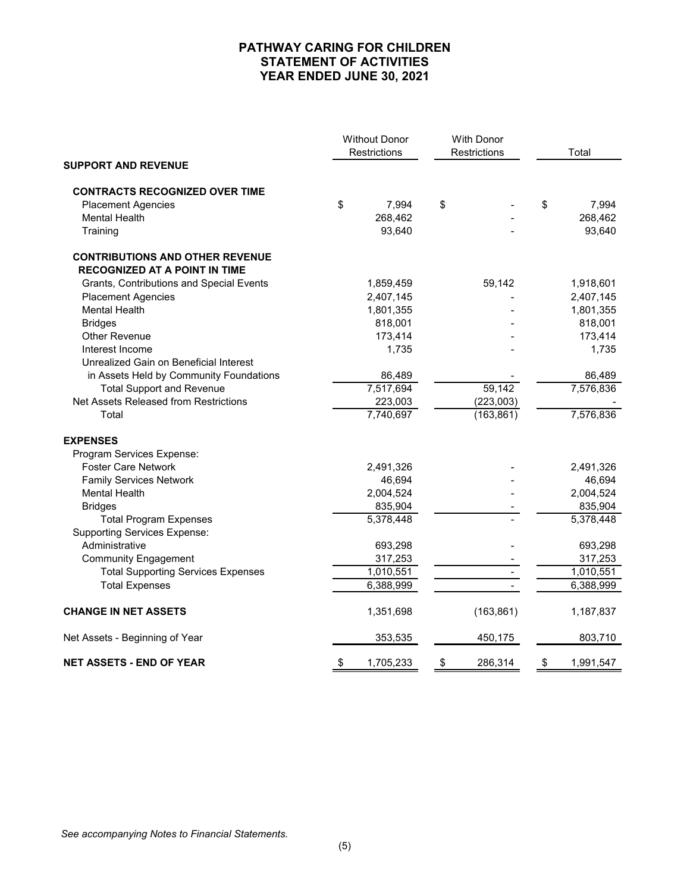# **PATHWAY CARING FOR CHILDREN STATEMENT OF ACTIVITIES YEAR ENDED JUNE 30, 2021**

| <b>SUPPORT AND REVENUE</b>                |    | <b>Without Donor</b><br>Restrictions | With Donor<br>Restrictions | Total |           |
|-------------------------------------------|----|--------------------------------------|----------------------------|-------|-----------|
|                                           |    |                                      |                            |       |           |
| <b>CONTRACTS RECOGNIZED OVER TIME</b>     |    |                                      |                            |       |           |
| <b>Placement Agencies</b>                 | \$ | 7,994                                | \$                         | \$    | 7,994     |
| <b>Mental Health</b>                      |    | 268,462                              |                            |       | 268,462   |
| Training                                  |    | 93,640                               |                            |       | 93,640    |
| <b>CONTRIBUTIONS AND OTHER REVENUE</b>    |    |                                      |                            |       |           |
| <b>RECOGNIZED AT A POINT IN TIME</b>      |    |                                      |                            |       |           |
| Grants, Contributions and Special Events  |    | 1,859,459                            | 59,142                     |       | 1,918,601 |
| <b>Placement Agencies</b>                 |    | 2,407,145                            |                            |       | 2,407,145 |
| <b>Mental Health</b>                      |    | 1,801,355                            |                            |       | 1,801,355 |
| <b>Bridges</b>                            |    | 818,001                              |                            |       | 818,001   |
| <b>Other Revenue</b>                      |    | 173,414                              |                            |       | 173,414   |
| Interest Income                           |    | 1,735                                |                            |       | 1,735     |
| Unrealized Gain on Beneficial Interest    |    |                                      |                            |       |           |
| in Assets Held by Community Foundations   |    | 86,489                               |                            |       | 86,489    |
| <b>Total Support and Revenue</b>          |    | 7,517,694                            | 59,142                     |       | 7,576,836 |
| Net Assets Released from Restrictions     |    | 223,003                              | (223,003)                  |       |           |
| Total                                     |    | 7,740,697                            | (163, 861)                 |       | 7,576,836 |
| <b>EXPENSES</b>                           |    |                                      |                            |       |           |
| Program Services Expense:                 |    |                                      |                            |       |           |
| Foster Care Network                       |    | 2,491,326                            |                            |       | 2,491,326 |
| <b>Family Services Network</b>            |    | 46,694                               |                            |       | 46,694    |
| <b>Mental Health</b>                      |    | 2,004,524                            |                            |       | 2,004,524 |
| <b>Bridges</b>                            |    | 835,904                              |                            |       | 835,904   |
| <b>Total Program Expenses</b>             |    | 5,378,448                            |                            |       | 5,378,448 |
| <b>Supporting Services Expense:</b>       |    |                                      |                            |       |           |
| Administrative                            |    | 693,298                              |                            |       | 693,298   |
| <b>Community Engagement</b>               |    | 317,253                              |                            |       | 317,253   |
| <b>Total Supporting Services Expenses</b> |    | 1,010,551                            |                            |       | 1,010,551 |
| <b>Total Expenses</b>                     |    | 6,388,999                            |                            |       | 6,388,999 |
| <b>CHANGE IN NET ASSETS</b>               |    | 1,351,698                            | (163, 861)                 |       | 1,187,837 |
| Net Assets - Beginning of Year            |    | 353,535                              | 450,175                    |       | 803,710   |
| <b>NET ASSETS - END OF YEAR</b>           | \$ | 1,705,233                            | \$<br>286,314              | \$    | 1,991,547 |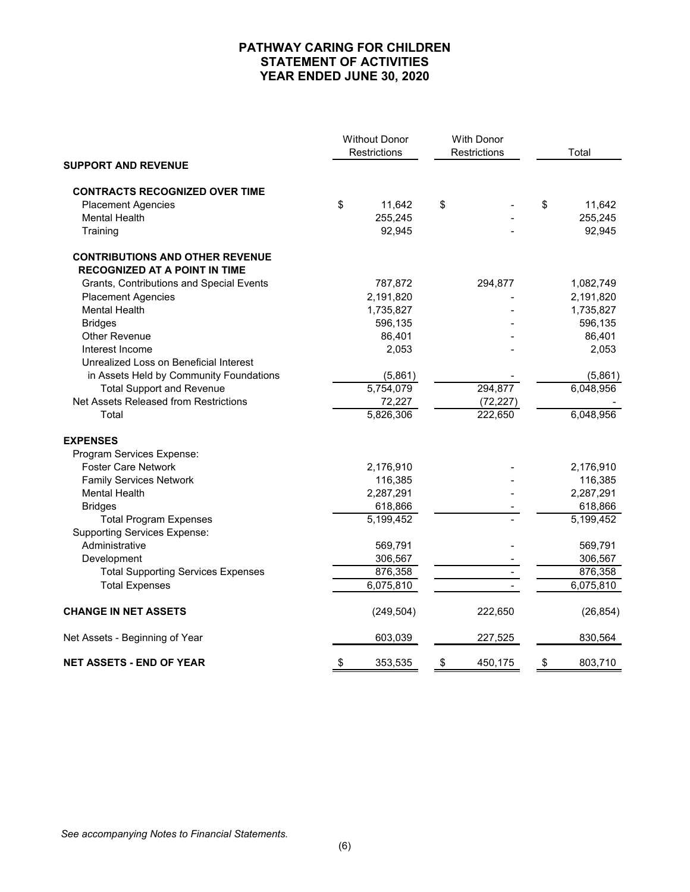# **PATHWAY CARING FOR CHILDREN STATEMENT OF ACTIVITIES YEAR ENDED JUNE 30, 2020**

|                                           |    | <b>Without Donor</b><br>Restrictions | With Donor<br>Restrictions | Total                     |
|-------------------------------------------|----|--------------------------------------|----------------------------|---------------------------|
| <b>SUPPORT AND REVENUE</b>                |    |                                      |                            |                           |
| <b>CONTRACTS RECOGNIZED OVER TIME</b>     |    |                                      |                            |                           |
| <b>Placement Agencies</b>                 | \$ | 11,642                               | \$                         | \$<br>11,642              |
| <b>Mental Health</b>                      |    | 255,245                              |                            | 255,245                   |
| Training                                  |    | 92,945                               |                            | 92,945                    |
| <b>CONTRIBUTIONS AND OTHER REVENUE</b>    |    |                                      |                            |                           |
| <b>RECOGNIZED AT A POINT IN TIME</b>      |    |                                      |                            |                           |
| Grants, Contributions and Special Events  |    | 787,872                              | 294,877                    | 1,082,749                 |
| <b>Placement Agencies</b>                 |    | 2,191,820                            |                            | 2,191,820                 |
| <b>Mental Health</b>                      |    | 1,735,827                            |                            | 1,735,827                 |
| <b>Bridges</b>                            |    | 596,135                              |                            | 596,135                   |
| <b>Other Revenue</b>                      |    | 86,401                               |                            | 86,401                    |
| Interest Income                           |    | 2,053                                |                            | 2,053                     |
| Unrealized Loss on Beneficial Interest    |    |                                      |                            |                           |
| in Assets Held by Community Foundations   |    | (5,861)                              |                            | (5,861)                   |
| <b>Total Support and Revenue</b>          |    | 5,754,079                            | 294,877                    | 6,048,956                 |
| Net Assets Released from Restrictions     |    | 72,227                               | (72, 227)                  |                           |
| Total                                     |    | 5,826,306                            | 222,650                    | 6,048,956                 |
| <b>EXPENSES</b>                           |    |                                      |                            |                           |
| Program Services Expense:                 |    |                                      |                            |                           |
| <b>Foster Care Network</b>                |    | 2,176,910                            |                            | 2,176,910                 |
| <b>Family Services Network</b>            |    | 116,385                              |                            | 116,385                   |
| <b>Mental Health</b>                      |    | 2,287,291                            |                            | 2,287,291                 |
| <b>Bridges</b>                            |    | 618,866                              |                            | 618,866                   |
| <b>Total Program Expenses</b>             |    | $\overline{5,}199,452$               |                            | $\overline{5}$ , 199, 452 |
| <b>Supporting Services Expense:</b>       |    |                                      |                            |                           |
| Administrative                            |    | 569,791                              |                            | 569,791                   |
| Development                               |    | 306,567                              |                            | 306,567                   |
| <b>Total Supporting Services Expenses</b> |    | 876,358                              |                            | 876,358                   |
| <b>Total Expenses</b>                     |    | 6,075,810                            |                            | 6,075,810                 |
| <b>CHANGE IN NET ASSETS</b>               |    | (249, 504)                           | 222,650                    | (26, 854)                 |
| Net Assets - Beginning of Year            |    | 603,039                              | 227,525                    | 830,564                   |
| <b>NET ASSETS - END OF YEAR</b>           | \$ | 353,535                              | \$<br>450,175              | \$<br>803,710             |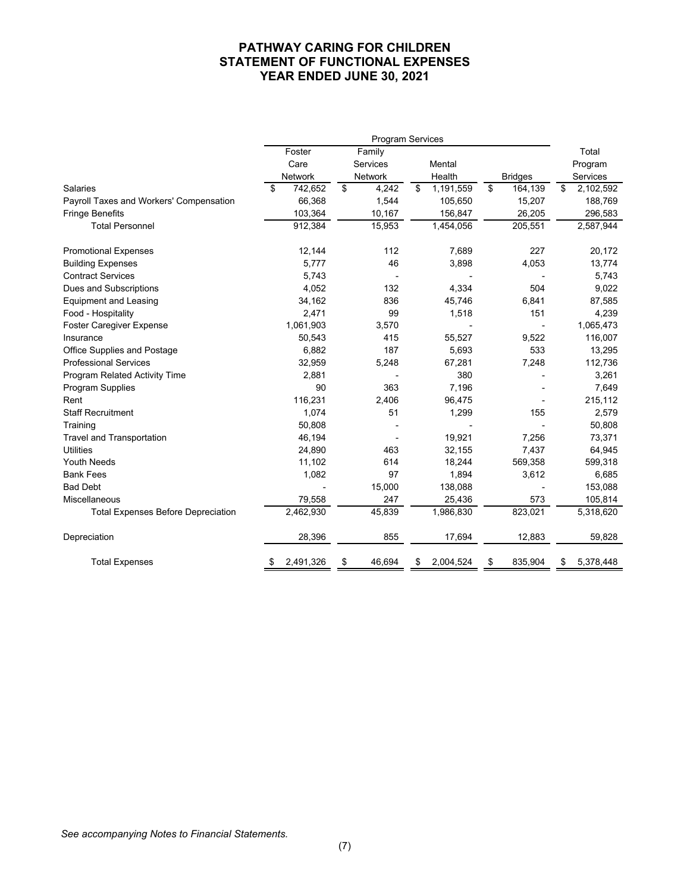# **PATHWAY CARING FOR CHILDREN STATEMENT OF FUNCTIONAL EXPENSES YEAR ENDED JUNE 30, 2021**

|                                           | Foster        | Family       |                 |                | Total           |  |
|-------------------------------------------|---------------|--------------|-----------------|----------------|-----------------|--|
|                                           | Care          | Services     |                 | Mental         |                 |  |
|                                           | Network       | Network      | Health          | <b>Bridges</b> | Services        |  |
| <b>Salaries</b>                           | \$<br>742,652 | \$<br>4,242  | 1,191,559<br>\$ | \$<br>164,139  | \$<br>2,102,592 |  |
| Payroll Taxes and Workers' Compensation   | 66,368        | 1,544        | 105,650         | 15,207         | 188,769         |  |
| <b>Fringe Benefits</b>                    | 103,364       | 10,167       | 156,847         | 26,205         | 296,583         |  |
| <b>Total Personnel</b>                    | 912,384       | 15,953       | 1,454,056       | 205,551        | 2,587,944       |  |
| <b>Promotional Expenses</b>               | 12,144        | 112          | 7,689           | 227            | 20,172          |  |
| <b>Building Expenses</b>                  | 5,777         | 46           | 3,898           | 4,053          | 13,774          |  |
| <b>Contract Services</b>                  | 5,743         |              |                 |                | 5,743           |  |
| Dues and Subscriptions                    | 4,052         | 132          | 4,334           | 504            | 9,022           |  |
| <b>Equipment and Leasing</b>              | 34,162        | 836          | 45,746          | 6,841          | 87,585          |  |
| Food - Hospitality                        | 2,471         | 99           | 1,518           | 151            | 4,239           |  |
| Foster Caregiver Expense                  | 1,061,903     | 3,570        |                 |                | 1,065,473       |  |
| Insurance                                 | 50,543        | 415          | 55,527          | 9,522          | 116,007         |  |
| Office Supplies and Postage               | 6,882         | 187          | 5,693           | 533            | 13,295          |  |
| <b>Professional Services</b>              | 32,959        | 5,248        | 67,281          | 7,248          | 112,736         |  |
| Program Related Activity Time             | 2,881         |              | 380             |                | 3,261           |  |
| Program Supplies                          | 90            | 363          | 7,196           |                | 7,649           |  |
| Rent                                      | 116,231       | 2,406        | 96,475          |                | 215,112         |  |
| <b>Staff Recruitment</b>                  | 1,074         | 51           | 1,299           | 155            | 2,579           |  |
| Training                                  | 50,808        |              |                 |                | 50,808          |  |
| <b>Travel and Transportation</b>          | 46,194        |              | 19,921          | 7,256          | 73,371          |  |
| <b>Utilities</b>                          | 24,890        | 463          | 32,155          | 7,437          | 64,945          |  |
| <b>Youth Needs</b>                        | 11,102        | 614          | 18,244          | 569,358        | 599,318         |  |
| <b>Bank Fees</b>                          | 1,082         | 97           | 1,894           | 3,612          | 6,685           |  |
| <b>Bad Debt</b>                           |               | 15,000       | 138,088         |                | 153,088         |  |
| Miscellaneous                             | 79,558        | 247          | 25,436          | 573            | 105,814         |  |
| <b>Total Expenses Before Depreciation</b> | 2,462,930     | 45,839       | 1,986,830       | 823,021        | 5,318,620       |  |
| Depreciation                              | 28,396        | 855          | 17,694          | 12,883         | 59,828          |  |
| <b>Total Expenses</b>                     | 2,491,326     | 46,694<br>\$ | 2,004,524<br>\$ | 835,904<br>\$  | 5,378,448       |  |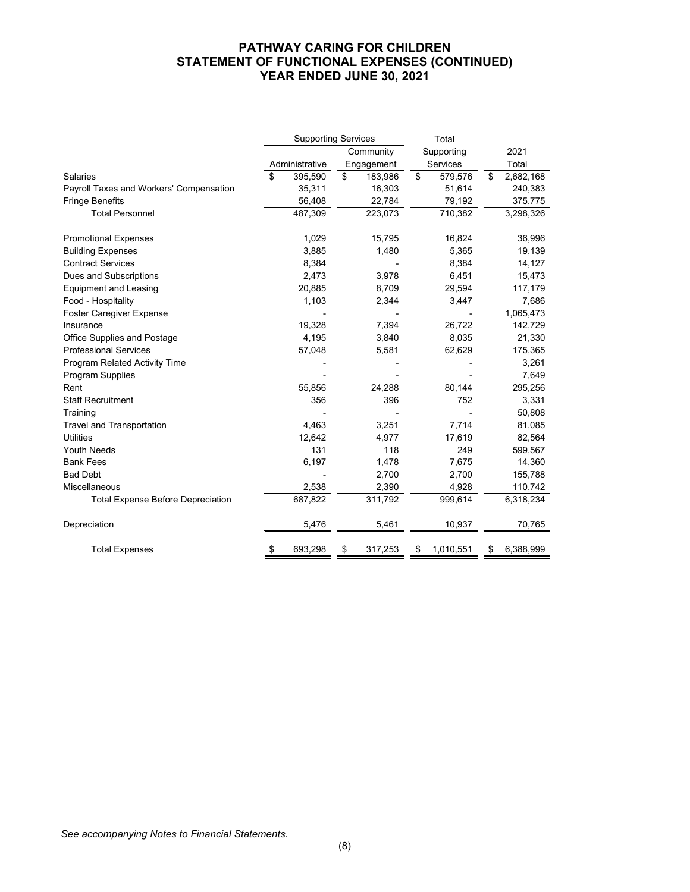# **PATHWAY CARING FOR CHILDREN STATEMENT OF FUNCTIONAL EXPENSES (CONTINUED) YEAR ENDED JUNE 30, 2021**

|                                          | <b>Supporting Services</b> |                |           | Total      |                 |    |           |
|------------------------------------------|----------------------------|----------------|-----------|------------|-----------------|----|-----------|
|                                          |                            |                | Community |            | Supporting      |    | 2021      |
|                                          |                            | Administrative |           | Engagement | Services        |    | Total     |
| Salaries                                 | \$                         | 395,590        | \$        | 183,986    | \$<br>579,576   | \$ | 2,682,168 |
| Payroll Taxes and Workers' Compensation  |                            | 35,311         |           | 16,303     | 51,614          |    | 240,383   |
| <b>Fringe Benefits</b>                   |                            | 56,408         |           | 22,784     | 79,192          |    | 375,775   |
| <b>Total Personnel</b>                   |                            | 487,309        |           | 223,073    | 710,382         |    | 3,298,326 |
| <b>Promotional Expenses</b>              |                            | 1,029          |           | 15,795     | 16,824          |    | 36,996    |
| <b>Building Expenses</b>                 |                            | 3,885          |           | 1,480      | 5,365           |    | 19,139    |
| <b>Contract Services</b>                 |                            | 8,384          |           |            | 8,384           |    | 14,127    |
| Dues and Subscriptions                   |                            | 2,473          |           | 3,978      | 6,451           |    | 15,473    |
| <b>Equipment and Leasing</b>             |                            | 20,885         |           | 8,709      | 29,594          |    | 117,179   |
| Food - Hospitality                       |                            | 1,103          |           | 2,344      | 3,447           |    | 7,686     |
| <b>Foster Caregiver Expense</b>          |                            |                |           |            |                 |    | 1,065,473 |
| Insurance                                |                            | 19,328         |           | 7,394      | 26,722          |    | 142,729   |
| Office Supplies and Postage              |                            | 4,195          |           | 3,840      | 8,035           |    | 21,330    |
| <b>Professional Services</b>             |                            | 57,048         |           | 5,581      | 62,629          |    | 175,365   |
| Program Related Activity Time            |                            |                |           |            |                 |    | 3,261     |
| Program Supplies                         |                            |                |           |            |                 |    | 7,649     |
| Rent                                     |                            | 55,856         |           | 24,288     | 80,144          |    | 295,256   |
| <b>Staff Recruitment</b>                 |                            | 356            |           | 396        | 752             |    | 3,331     |
| Training                                 |                            |                |           |            |                 |    | 50,808    |
| <b>Travel and Transportation</b>         |                            | 4,463          |           | 3,251      | 7,714           |    | 81,085    |
| <b>Utilities</b>                         |                            | 12,642         |           | 4,977      | 17,619          |    | 82,564    |
| Youth Needs                              |                            | 131            |           | 118        | 249             |    | 599,567   |
| <b>Bank Fees</b>                         |                            | 6,197          |           | 1,478      | 7,675           |    | 14,360    |
| <b>Bad Debt</b>                          |                            |                |           | 2,700      | 2,700           |    | 155,788   |
| <b>Miscellaneous</b>                     |                            | 2,538          |           | 2,390      | 4,928           |    | 110,742   |
| <b>Total Expense Before Depreciation</b> |                            | 687,822        |           | 311,792    | 999,614         |    | 6,318,234 |
| Depreciation                             |                            | 5,476          |           | 5,461      | 10,937          |    | 70,765    |
| <b>Total Expenses</b>                    | \$                         | 693,298        | \$        | 317,253    | \$<br>1,010,551 | \$ | 6,388,999 |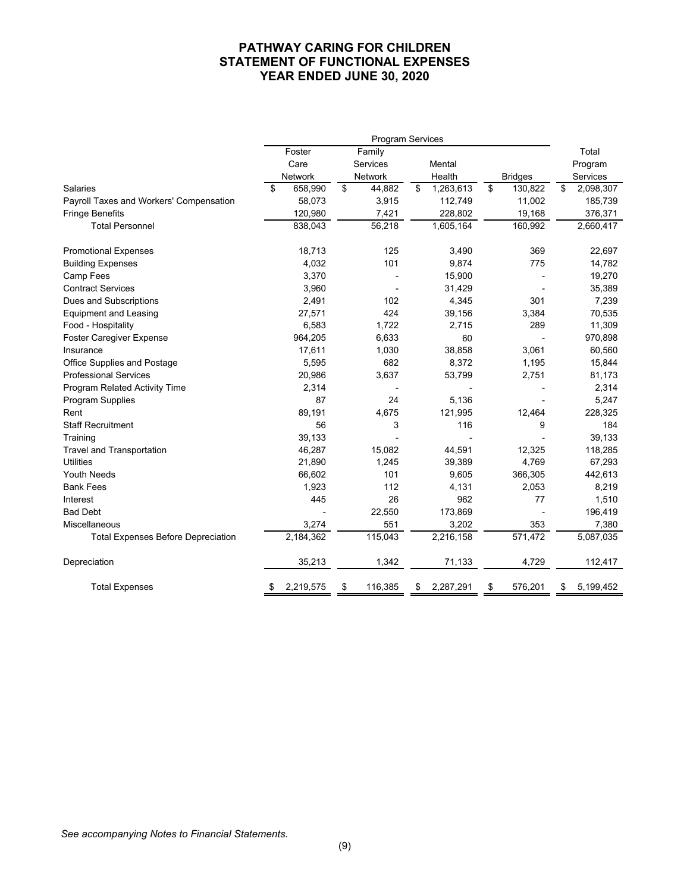# **PATHWAY CARING FOR CHILDREN STATEMENT OF FUNCTIONAL EXPENSES YEAR ENDED JUNE 30, 2020**

|                                           | Program Services |                                   |                 |                |                 |  |
|-------------------------------------------|------------------|-----------------------------------|-----------------|----------------|-----------------|--|
|                                           | Foster           | Family                            |                 |                | Total           |  |
|                                           | Care             | Services                          | Mental          |                | Program         |  |
|                                           | Network          | Network                           | Health          | <b>Bridges</b> | Services        |  |
| Salaries                                  | \$<br>658,990    | $\overline{\mathbf{S}}$<br>44,882 | \$<br>1,263,613 | \$<br>130,822  | \$<br>2,098,307 |  |
| Payroll Taxes and Workers' Compensation   | 58,073           | 3,915                             | 112,749         | 11,002         | 185,739         |  |
| <b>Fringe Benefits</b>                    | 120,980          | 7,421                             | 228,802         | 19,168         | 376,371         |  |
| <b>Total Personnel</b>                    | 838,043          | 56,218                            | 1,605,164       | 160,992        | 2,660,417       |  |
| <b>Promotional Expenses</b>               | 18,713           | 125                               | 3,490           | 369            | 22,697          |  |
| <b>Building Expenses</b>                  | 4,032            | 101                               | 9,874           | 775            | 14,782          |  |
| Camp Fees                                 | 3,370            |                                   | 15,900          |                | 19,270          |  |
| <b>Contract Services</b>                  | 3,960            |                                   | 31,429          |                | 35,389          |  |
| Dues and Subscriptions                    | 2,491            | 102                               | 4,345           | 301            | 7,239           |  |
| <b>Equipment and Leasing</b>              | 27,571           | 424                               | 39,156          | 3,384          | 70,535          |  |
| Food - Hospitality                        | 6,583            | 1,722                             | 2,715           | 289            | 11,309          |  |
| <b>Foster Caregiver Expense</b>           | 964,205          | 6,633                             | 60              |                | 970,898         |  |
| Insurance                                 | 17,611           | 1,030                             | 38,858          | 3,061          | 60,560          |  |
| Office Supplies and Postage               | 5,595            | 682                               | 8,372           | 1,195          | 15,844          |  |
| <b>Professional Services</b>              | 20,986           | 3,637                             | 53,799          | 2,751          | 81,173          |  |
| Program Related Activity Time             | 2,314            |                                   |                 |                | 2,314           |  |
| Program Supplies                          | 87               | 24                                | 5,136           |                | 5,247           |  |
| Rent                                      | 89,191           | 4,675                             | 121,995         | 12,464         | 228,325         |  |
| <b>Staff Recruitment</b>                  | 56               | 3                                 | 116             | 9              | 184             |  |
| Training                                  | 39,133           |                                   |                 |                | 39,133          |  |
| <b>Travel and Transportation</b>          | 46,287           | 15,082                            | 44,591          | 12,325         | 118,285         |  |
| <b>Utilities</b>                          | 21,890           | 1,245                             | 39,389          | 4,769          | 67,293          |  |
| <b>Youth Needs</b>                        | 66,602           | 101                               | 9,605           | 366,305        | 442,613         |  |
| <b>Bank Fees</b>                          | 1,923            | 112                               | 4,131           | 2,053          | 8,219           |  |
| Interest                                  | 445              | 26                                | 962             | 77             | 1,510           |  |
| <b>Bad Debt</b>                           |                  | 22,550                            | 173,869         |                | 196,419         |  |
| Miscellaneous                             | 3,274            | 551                               | 3,202           | 353            | 7,380           |  |
| <b>Total Expenses Before Depreciation</b> | 2,184,362        | 115,043                           | 2,216,158       | 571,472        | 5,087,035       |  |
| Depreciation                              | 35,213           | 1,342                             | 71,133          | 4,729          | 112,417         |  |
| <b>Total Expenses</b>                     | 2,219,575<br>\$  | 116,385<br>\$                     | 2,287,291<br>\$ | 576,201<br>\$  | 5,199,452<br>\$ |  |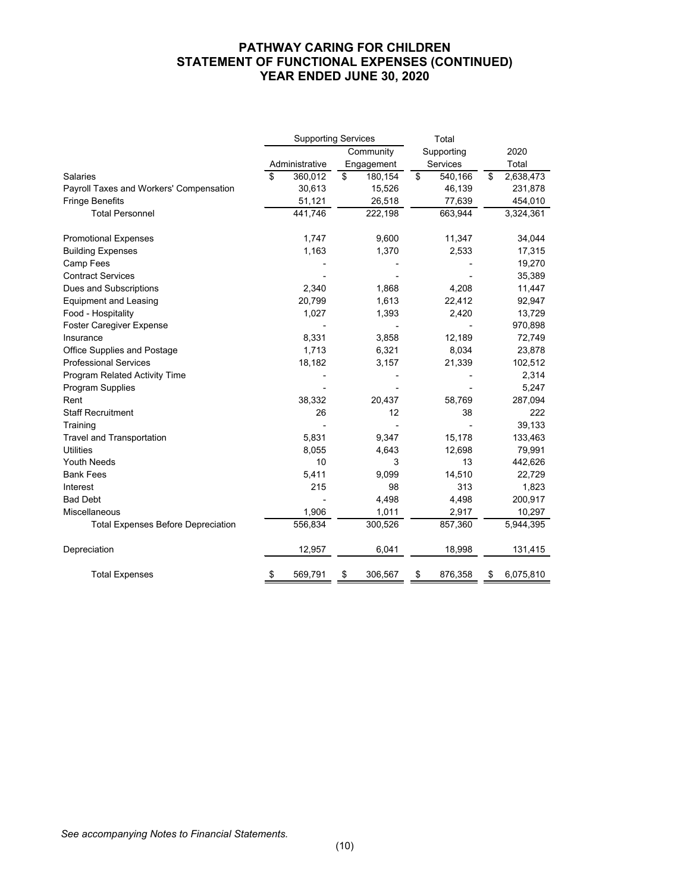# **PATHWAY CARING FOR CHILDREN STATEMENT OF FUNCTIONAL EXPENSES (CONTINUED) YEAR ENDED JUNE 30, 2020**

|                                           | <b>Supporting Services</b> |                |    | Total      |            |          |                 |
|-------------------------------------------|----------------------------|----------------|----|------------|------------|----------|-----------------|
|                                           |                            | Community      |    |            | Supporting |          | 2020            |
|                                           |                            | Administrative |    | Engagement |            | Services | Total           |
| <b>Salaries</b>                           | \$                         | 360,012        | \$ | 180,154    | \$         | 540,166  | \$<br>2,638,473 |
| Payroll Taxes and Workers' Compensation   |                            | 30,613         |    | 15,526     |            | 46,139   | 231,878         |
| <b>Fringe Benefits</b>                    |                            | 51,121         |    | 26,518     |            | 77,639   | 454,010         |
| <b>Total Personnel</b>                    |                            | 441,746        |    | 222,198    |            | 663,944  | 3,324,361       |
| <b>Promotional Expenses</b>               |                            | 1,747          |    | 9,600      |            | 11,347   | 34,044          |
| <b>Building Expenses</b>                  |                            | 1,163          |    | 1,370      |            | 2,533    | 17,315          |
| Camp Fees                                 |                            |                |    |            |            |          | 19,270          |
| <b>Contract Services</b>                  |                            |                |    |            |            |          | 35,389          |
| Dues and Subscriptions                    |                            | 2,340          |    | 1,868      |            | 4,208    | 11,447          |
| <b>Equipment and Leasing</b>              |                            | 20,799         |    | 1,613      |            | 22,412   | 92,947          |
| Food - Hospitality                        |                            | 1,027          |    | 1,393      |            | 2,420    | 13,729          |
| <b>Foster Caregiver Expense</b>           |                            |                |    |            |            |          | 970,898         |
| Insurance                                 |                            | 8,331          |    | 3,858      |            | 12,189   | 72,749          |
| Office Supplies and Postage               |                            | 1,713          |    | 6,321      |            | 8,034    | 23,878          |
| <b>Professional Services</b>              |                            | 18,182         |    | 3,157      |            | 21,339   | 102,512         |
| Program Related Activity Time             |                            |                |    |            |            |          | 2,314           |
| <b>Program Supplies</b>                   |                            |                |    |            |            |          | 5,247           |
| Rent                                      |                            | 38,332         |    | 20,437     |            | 58,769   | 287,094         |
| <b>Staff Recruitment</b>                  |                            | 26             |    | 12         |            | 38       | 222             |
| Training                                  |                            |                |    |            |            |          | 39,133          |
| <b>Travel and Transportation</b>          |                            | 5,831          |    | 9,347      |            | 15,178   | 133,463         |
| <b>Utilities</b>                          |                            | 8,055          |    | 4,643      |            | 12,698   | 79,991          |
| <b>Youth Needs</b>                        |                            | 10             |    | 3          |            | 13       | 442,626         |
| <b>Bank Fees</b>                          |                            | 5,411          |    | 9,099      |            | 14,510   | 22,729          |
| Interest                                  |                            | 215            |    | 98         |            | 313      | 1,823           |
| <b>Bad Debt</b>                           |                            |                |    | 4,498      |            | 4,498    | 200,917         |
| Miscellaneous                             |                            | 1,906          |    | 1,011      |            | 2,917    | 10,297          |
| <b>Total Expenses Before Depreciation</b> |                            | 556,834        |    | 300,526    |            | 857,360  | 5,944,395       |
| Depreciation                              |                            | 12,957         |    | 6,041      |            | 18,998   | 131,415         |
| <b>Total Expenses</b>                     | \$                         | 569,791        | \$ | 306,567    | \$         | 876,358  | \$<br>6,075,810 |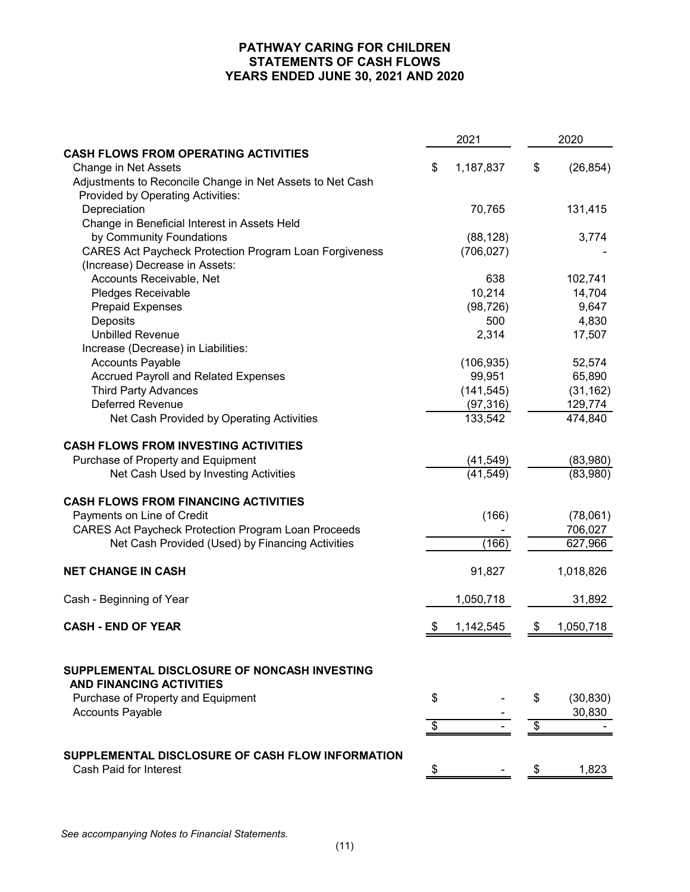# **PATHWAY CARING FOR CHILDREN STATEMENTS OF CASH FLOWS YEARS ENDED JUNE 30, 2021 AND 2020**

|                                                                            |    | 2021       | 2020 |           |  |
|----------------------------------------------------------------------------|----|------------|------|-----------|--|
| <b>CASH FLOWS FROM OPERATING ACTIVITIES</b>                                |    |            |      |           |  |
| Change in Net Assets                                                       | \$ | 1,187,837  | \$   | (26, 854) |  |
| Adjustments to Reconcile Change in Net Assets to Net Cash                  |    |            |      |           |  |
| Provided by Operating Activities:                                          |    |            |      |           |  |
| Depreciation                                                               |    | 70,765     |      | 131,415   |  |
| Change in Beneficial Interest in Assets Held                               |    |            |      |           |  |
| by Community Foundations                                                   |    | (88, 128)  |      | 3,774     |  |
| <b>CARES Act Paycheck Protection Program Loan Forgiveness</b>              |    | (706, 027) |      |           |  |
| (Increase) Decrease in Assets:                                             |    |            |      |           |  |
| Accounts Receivable, Net                                                   |    | 638        |      | 102,741   |  |
| Pledges Receivable                                                         |    | 10,214     |      | 14,704    |  |
| <b>Prepaid Expenses</b>                                                    |    | (98, 726)  |      | 9,647     |  |
| Deposits                                                                   |    | 500        |      | 4,830     |  |
| <b>Unbilled Revenue</b>                                                    |    | 2,314      |      | 17,507    |  |
| Increase (Decrease) in Liabilities:                                        |    |            |      |           |  |
| <b>Accounts Payable</b>                                                    |    | (106, 935) |      | 52,574    |  |
| <b>Accrued Payroll and Related Expenses</b>                                |    | 99,951     |      | 65,890    |  |
| <b>Third Party Advances</b>                                                |    | (141, 545) |      | (31, 162) |  |
| <b>Deferred Revenue</b>                                                    |    | (97, 316)  |      | 129,774   |  |
| Net Cash Provided by Operating Activities                                  |    | 133,542    |      | 474,840   |  |
| <b>CASH FLOWS FROM INVESTING ACTIVITIES</b>                                |    |            |      |           |  |
| Purchase of Property and Equipment                                         |    | (41, 549)  |      | (83,980)  |  |
| Net Cash Used by Investing Activities                                      |    | (41, 549)  |      | (83,980)  |  |
| <b>CASH FLOWS FROM FINANCING ACTIVITIES</b>                                |    |            |      |           |  |
| Payments on Line of Credit                                                 |    | (166)      |      | (78,061)  |  |
| <b>CARES Act Paycheck Protection Program Loan Proceeds</b>                 |    |            |      | 706,027   |  |
| Net Cash Provided (Used) by Financing Activities                           |    | (166)      |      | 627,966   |  |
| <b>NET CHANGE IN CASH</b>                                                  |    | 91,827     |      | 1,018,826 |  |
| Cash - Beginning of Year                                                   |    | 1,050,718  |      | 31,892    |  |
| <b>CASH - END OF YEAR</b>                                                  |    | 1,142,545  |      | 1,050,718 |  |
|                                                                            | \$ |            | \$   |           |  |
| SUPPLEMENTAL DISCLOSURE OF NONCASH INVESTING                               |    |            |      |           |  |
| <b>AND FINANCING ACTIVITIES</b>                                            |    |            |      |           |  |
| Purchase of Property and Equipment                                         | \$ |            | \$   | (30, 830) |  |
| <b>Accounts Payable</b>                                                    |    |            |      | 30,830    |  |
|                                                                            | \$ |            | \$   |           |  |
|                                                                            |    |            |      |           |  |
| SUPPLEMENTAL DISCLOSURE OF CASH FLOW INFORMATION<br>Cash Paid for Interest | \$ |            | \$   | 1,823     |  |

*See accompanying Notes to Financial Statements.*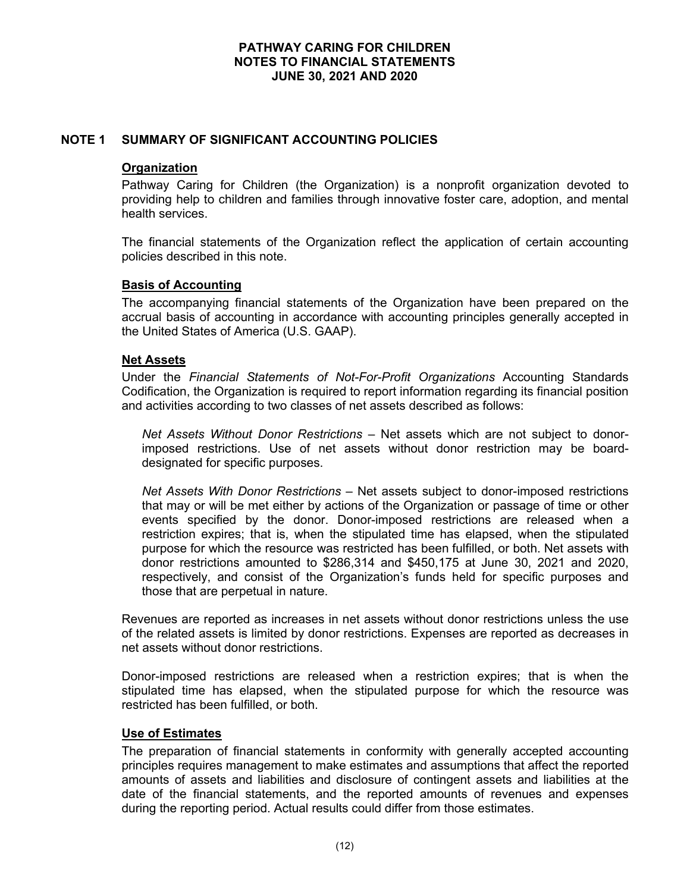# **NOTE 1 SUMMARY OF SIGNIFICANT ACCOUNTING POLICIES**

#### **Organization**

Pathway Caring for Children (the Organization) is a nonprofit organization devoted to providing help to children and families through innovative foster care, adoption, and mental health services.

The financial statements of the Organization reflect the application of certain accounting policies described in this note.

#### **Basis of Accounting**

The accompanying financial statements of the Organization have been prepared on the accrual basis of accounting in accordance with accounting principles generally accepted in the United States of America (U.S. GAAP).

#### **Net Assets**

Under the *Financial Statements of Not-For-Profit Organizations* Accounting Standards Codification, the Organization is required to report information regarding its financial position and activities according to two classes of net assets described as follows:

*Net Assets Without Donor Restrictions* – Net assets which are not subject to donorimposed restrictions. Use of net assets without donor restriction may be boarddesignated for specific purposes.

*Net Assets With Donor Restrictions* – Net assets subject to donor-imposed restrictions that may or will be met either by actions of the Organization or passage of time or other events specified by the donor. Donor-imposed restrictions are released when a restriction expires; that is, when the stipulated time has elapsed, when the stipulated purpose for which the resource was restricted has been fulfilled, or both. Net assets with donor restrictions amounted to \$286,314 and \$450,175 at June 30, 2021 and 2020, respectively, and consist of the Organization's funds held for specific purposes and those that are perpetual in nature.

Revenues are reported as increases in net assets without donor restrictions unless the use of the related assets is limited by donor restrictions. Expenses are reported as decreases in net assets without donor restrictions.

Donor-imposed restrictions are released when a restriction expires; that is when the stipulated time has elapsed, when the stipulated purpose for which the resource was restricted has been fulfilled, or both.

#### **Use of Estimates**

The preparation of financial statements in conformity with generally accepted accounting principles requires management to make estimates and assumptions that affect the reported amounts of assets and liabilities and disclosure of contingent assets and liabilities at the date of the financial statements, and the reported amounts of revenues and expenses during the reporting period. Actual results could differ from those estimates.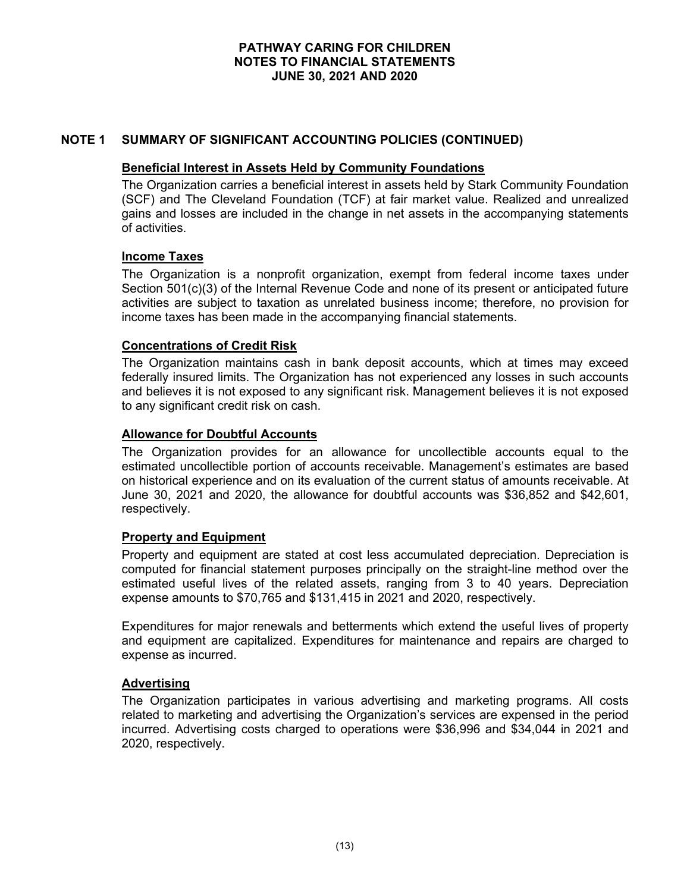# **NOTE 1 SUMMARY OF SIGNIFICANT ACCOUNTING POLICIES (CONTINUED)**

### **Beneficial Interest in Assets Held by Community Foundations**

The Organization carries a beneficial interest in assets held by Stark Community Foundation (SCF) and The Cleveland Foundation (TCF) at fair market value. Realized and unrealized gains and losses are included in the change in net assets in the accompanying statements of activities.

## **Income Taxes**

The Organization is a nonprofit organization, exempt from federal income taxes under Section 501(c)(3) of the Internal Revenue Code and none of its present or anticipated future activities are subject to taxation as unrelated business income; therefore, no provision for income taxes has been made in the accompanying financial statements.

### **Concentrations of Credit Risk**

The Organization maintains cash in bank deposit accounts, which at times may exceed federally insured limits. The Organization has not experienced any losses in such accounts and believes it is not exposed to any significant risk. Management believes it is not exposed to any significant credit risk on cash.

### **Allowance for Doubtful Accounts**

The Organization provides for an allowance for uncollectible accounts equal to the estimated uncollectible portion of accounts receivable. Management's estimates are based on historical experience and on its evaluation of the current status of amounts receivable. At June 30, 2021 and 2020, the allowance for doubtful accounts was \$36,852 and \$42,601, respectively.

## **Property and Equipment**

Property and equipment are stated at cost less accumulated depreciation. Depreciation is computed for financial statement purposes principally on the straight-line method over the estimated useful lives of the related assets, ranging from 3 to 40 years. Depreciation expense amounts to \$70,765 and \$131,415 in 2021 and 2020, respectively.

Expenditures for major renewals and betterments which extend the useful lives of property and equipment are capitalized. Expenditures for maintenance and repairs are charged to expense as incurred.

## **Advertising**

The Organization participates in various advertising and marketing programs. All costs related to marketing and advertising the Organization's services are expensed in the period incurred. Advertising costs charged to operations were \$36,996 and \$34,044 in 2021 and 2020, respectively.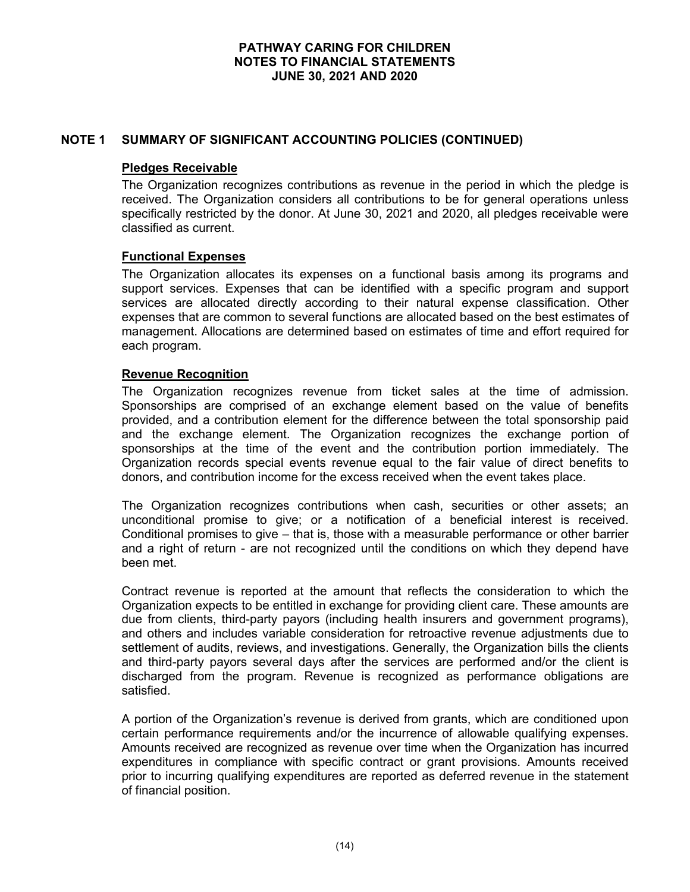## **NOTE 1 SUMMARY OF SIGNIFICANT ACCOUNTING POLICIES (CONTINUED)**

### **Pledges Receivable**

The Organization recognizes contributions as revenue in the period in which the pledge is received. The Organization considers all contributions to be for general operations unless specifically restricted by the donor. At June 30, 2021 and 2020, all pledges receivable were classified as current.

### **Functional Expenses**

The Organization allocates its expenses on a functional basis among its programs and support services. Expenses that can be identified with a specific program and support services are allocated directly according to their natural expense classification. Other expenses that are common to several functions are allocated based on the best estimates of management. Allocations are determined based on estimates of time and effort required for each program.

### **Revenue Recognition**

The Organization recognizes revenue from ticket sales at the time of admission. Sponsorships are comprised of an exchange element based on the value of benefits provided, and a contribution element for the difference between the total sponsorship paid and the exchange element. The Organization recognizes the exchange portion of sponsorships at the time of the event and the contribution portion immediately. The Organization records special events revenue equal to the fair value of direct benefits to donors, and contribution income for the excess received when the event takes place.

The Organization recognizes contributions when cash, securities or other assets; an unconditional promise to give; or a notification of a beneficial interest is received. Conditional promises to give – that is, those with a measurable performance or other barrier and a right of return - are not recognized until the conditions on which they depend have been met.

Contract revenue is reported at the amount that reflects the consideration to which the Organization expects to be entitled in exchange for providing client care. These amounts are due from clients, third-party payors (including health insurers and government programs), and others and includes variable consideration for retroactive revenue adjustments due to settlement of audits, reviews, and investigations. Generally, the Organization bills the clients and third-party payors several days after the services are performed and/or the client is discharged from the program. Revenue is recognized as performance obligations are satisfied.

A portion of the Organization's revenue is derived from grants, which are conditioned upon certain performance requirements and/or the incurrence of allowable qualifying expenses. Amounts received are recognized as revenue over time when the Organization has incurred expenditures in compliance with specific contract or grant provisions. Amounts received prior to incurring qualifying expenditures are reported as deferred revenue in the statement of financial position.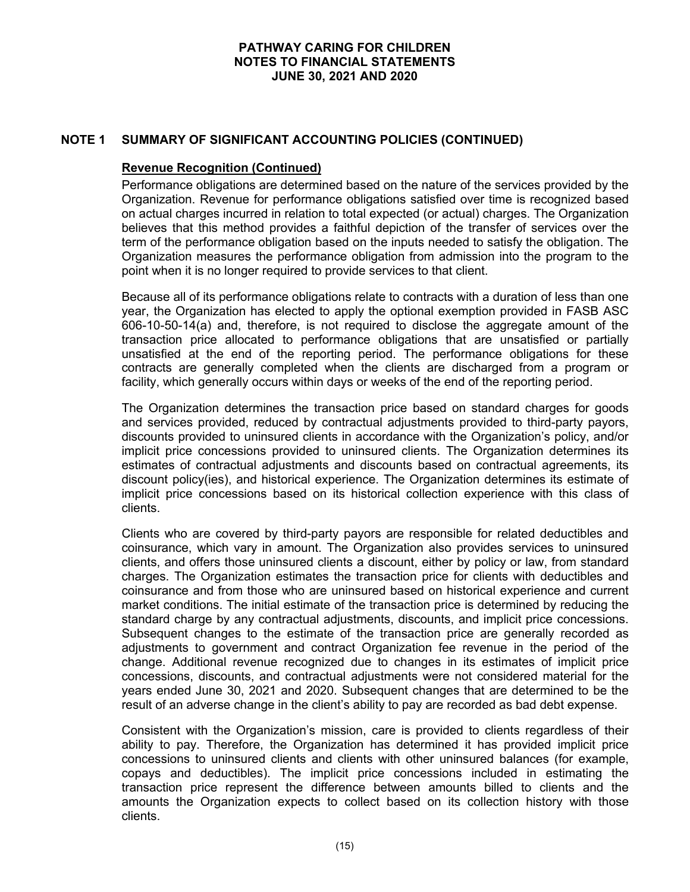## **NOTE 1 SUMMARY OF SIGNIFICANT ACCOUNTING POLICIES (CONTINUED)**

#### **Revenue Recognition (Continued)**

Performance obligations are determined based on the nature of the services provided by the Organization. Revenue for performance obligations satisfied over time is recognized based on actual charges incurred in relation to total expected (or actual) charges. The Organization believes that this method provides a faithful depiction of the transfer of services over the term of the performance obligation based on the inputs needed to satisfy the obligation. The Organization measures the performance obligation from admission into the program to the point when it is no longer required to provide services to that client.

Because all of its performance obligations relate to contracts with a duration of less than one year, the Organization has elected to apply the optional exemption provided in FASB ASC 606-10-50-14(a) and, therefore, is not required to disclose the aggregate amount of the transaction price allocated to performance obligations that are unsatisfied or partially unsatisfied at the end of the reporting period. The performance obligations for these contracts are generally completed when the clients are discharged from a program or facility, which generally occurs within days or weeks of the end of the reporting period.

The Organization determines the transaction price based on standard charges for goods and services provided, reduced by contractual adjustments provided to third-party payors, discounts provided to uninsured clients in accordance with the Organization's policy, and/or implicit price concessions provided to uninsured clients. The Organization determines its estimates of contractual adjustments and discounts based on contractual agreements, its discount policy(ies), and historical experience. The Organization determines its estimate of implicit price concessions based on its historical collection experience with this class of clients.

Clients who are covered by third-party payors are responsible for related deductibles and coinsurance, which vary in amount. The Organization also provides services to uninsured clients, and offers those uninsured clients a discount, either by policy or law, from standard charges. The Organization estimates the transaction price for clients with deductibles and coinsurance and from those who are uninsured based on historical experience and current market conditions. The initial estimate of the transaction price is determined by reducing the standard charge by any contractual adjustments, discounts, and implicit price concessions. Subsequent changes to the estimate of the transaction price are generally recorded as adjustments to government and contract Organization fee revenue in the period of the change. Additional revenue recognized due to changes in its estimates of implicit price concessions, discounts, and contractual adjustments were not considered material for the years ended June 30, 2021 and 2020. Subsequent changes that are determined to be the result of an adverse change in the client's ability to pay are recorded as bad debt expense.

Consistent with the Organization's mission, care is provided to clients regardless of their ability to pay. Therefore, the Organization has determined it has provided implicit price concessions to uninsured clients and clients with other uninsured balances (for example, copays and deductibles). The implicit price concessions included in estimating the transaction price represent the difference between amounts billed to clients and the amounts the Organization expects to collect based on its collection history with those clients.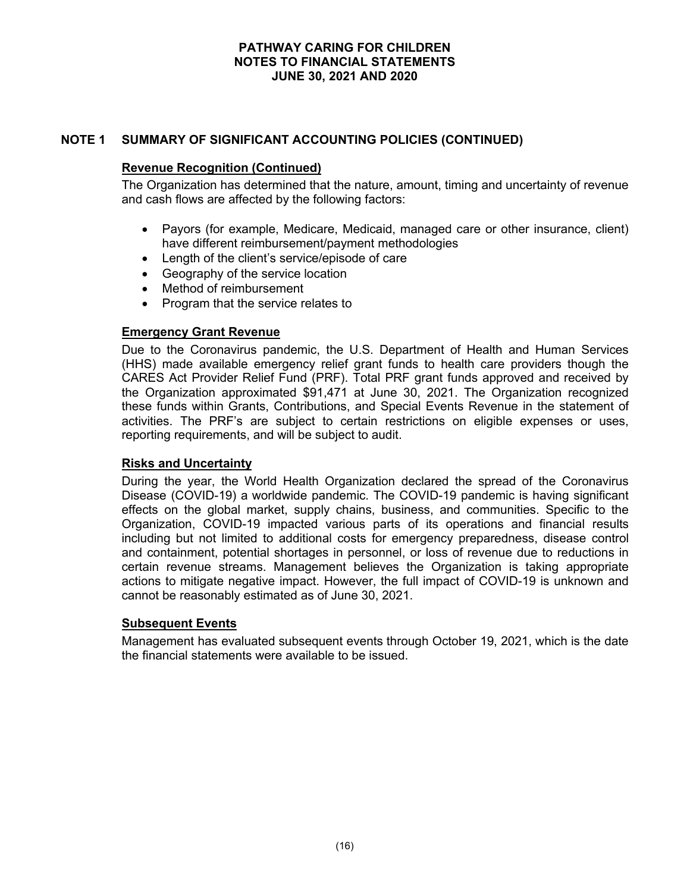## **NOTE 1 SUMMARY OF SIGNIFICANT ACCOUNTING POLICIES (CONTINUED)**

## **Revenue Recognition (Continued)**

The Organization has determined that the nature, amount, timing and uncertainty of revenue and cash flows are affected by the following factors:

- Payors (for example, Medicare, Medicaid, managed care or other insurance, client) have different reimbursement/payment methodologies
- Length of the client's service/episode of care
- Geography of the service location
- Method of reimbursement
- Program that the service relates to

## **Emergency Grant Revenue**

Due to the Coronavirus pandemic, the U.S. Department of Health and Human Services (HHS) made available emergency relief grant funds to health care providers though the CARES Act Provider Relief Fund (PRF). Total PRF grant funds approved and received by the Organization approximated \$91,471 at June 30, 2021. The Organization recognized these funds within Grants, Contributions, and Special Events Revenue in the statement of activities. The PRF's are subject to certain restrictions on eligible expenses or uses, reporting requirements, and will be subject to audit.

## **Risks and Uncertainty**

During the year, the World Health Organization declared the spread of the Coronavirus Disease (COVID-19) a worldwide pandemic. The COVID-19 pandemic is having significant effects on the global market, supply chains, business, and communities. Specific to the Organization, COVID-19 impacted various parts of its operations and financial results including but not limited to additional costs for emergency preparedness, disease control and containment, potential shortages in personnel, or loss of revenue due to reductions in certain revenue streams. Management believes the Organization is taking appropriate actions to mitigate negative impact. However, the full impact of COVID-19 is unknown and cannot be reasonably estimated as of June 30, 2021.

## **Subsequent Events**

Management has evaluated subsequent events through October 19, 2021, which is the date the financial statements were available to be issued.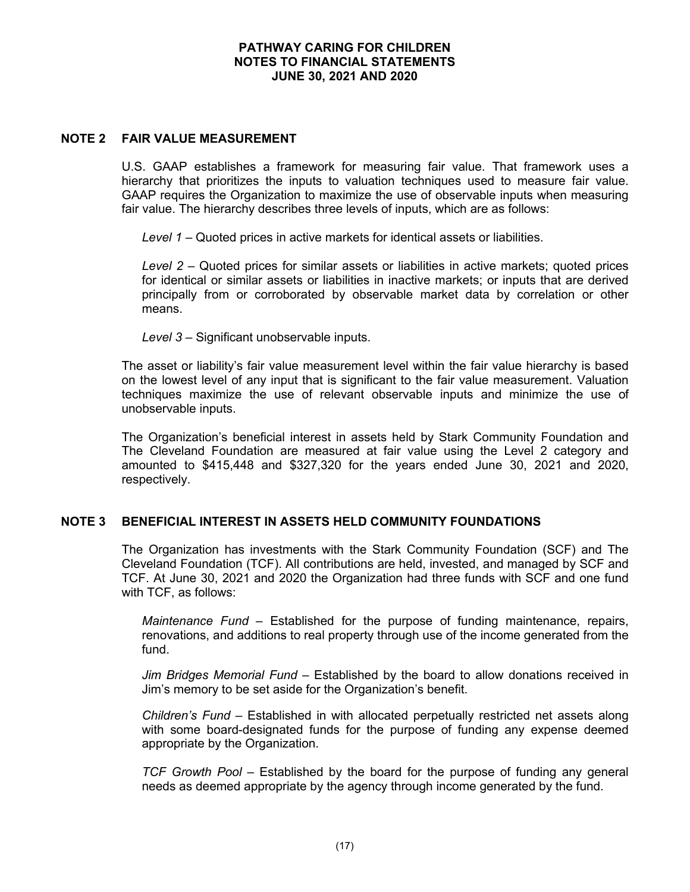### **NOTE 2 FAIR VALUE MEASUREMENT**

U.S. GAAP establishes a framework for measuring fair value. That framework uses a hierarchy that prioritizes the inputs to valuation techniques used to measure fair value. GAAP requires the Organization to maximize the use of observable inputs when measuring fair value. The hierarchy describes three levels of inputs, which are as follows:

*Level 1* – Quoted prices in active markets for identical assets or liabilities.

*Level 2* – Quoted prices for similar assets or liabilities in active markets; quoted prices for identical or similar assets or liabilities in inactive markets; or inputs that are derived principally from or corroborated by observable market data by correlation or other means.

*Level 3* – Significant unobservable inputs.

The asset or liability's fair value measurement level within the fair value hierarchy is based on the lowest level of any input that is significant to the fair value measurement. Valuation techniques maximize the use of relevant observable inputs and minimize the use of unobservable inputs.

The Organization's beneficial interest in assets held by Stark Community Foundation and The Cleveland Foundation are measured at fair value using the Level 2 category and amounted to \$415,448 and \$327,320 for the years ended June 30, 2021 and 2020, respectively.

## **NOTE 3 BENEFICIAL INTEREST IN ASSETS HELD COMMUNITY FOUNDATIONS**

The Organization has investments with the Stark Community Foundation (SCF) and The Cleveland Foundation (TCF). All contributions are held, invested, and managed by SCF and TCF. At June 30, 2021 and 2020 the Organization had three funds with SCF and one fund with TCF, as follows:

*Maintenance Fund –* Established for the purpose of funding maintenance, repairs, renovations, and additions to real property through use of the income generated from the fund.

*Jim Bridges Memorial Fund* – Established by the board to allow donations received in Jim's memory to be set aside for the Organization's benefit.

*Children's Fund* – Established in with allocated perpetually restricted net assets along with some board-designated funds for the purpose of funding any expense deemed appropriate by the Organization.

*TCF Growth Pool* – Established by the board for the purpose of funding any general needs as deemed appropriate by the agency through income generated by the fund.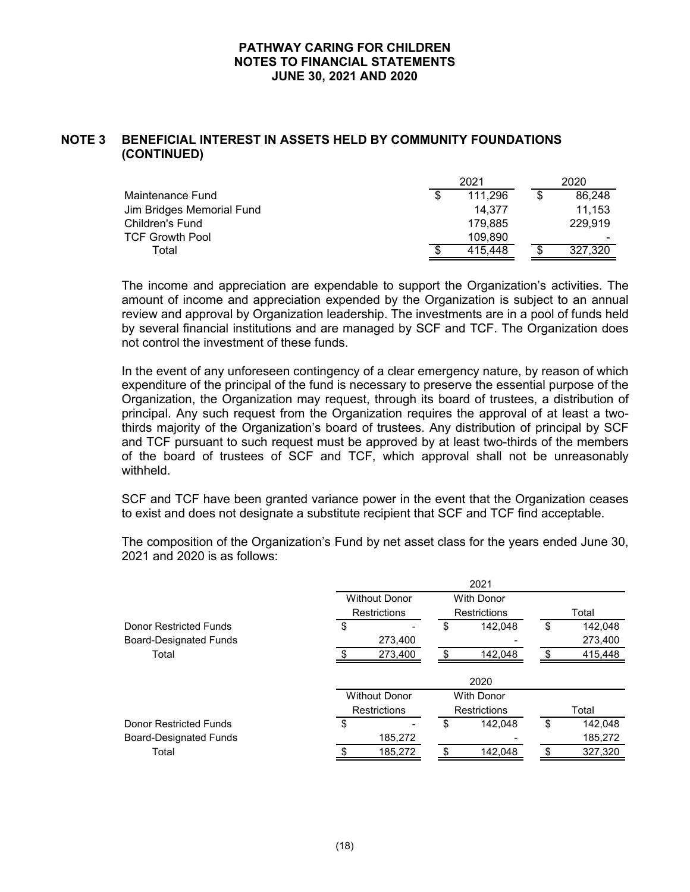## **NOTE 3 BENEFICIAL INTEREST IN ASSETS HELD BY COMMUNITY FOUNDATIONS (CONTINUED)**

|                           | 2021 |         |  | 2020    |  |  |
|---------------------------|------|---------|--|---------|--|--|
| Maintenance Fund          |      | 111.296 |  | 86.248  |  |  |
| Jim Bridges Memorial Fund |      | 14.377  |  | 11.153  |  |  |
| Children's Fund           |      | 179.885 |  | 229.919 |  |  |
| TCF Growth Pool           |      | 109.890 |  | -       |  |  |
| Total                     |      | 415.448 |  | 327.320 |  |  |

The income and appreciation are expendable to support the Organization's activities. The amount of income and appreciation expended by the Organization is subject to an annual review and approval by Organization leadership. The investments are in a pool of funds held by several financial institutions and are managed by SCF and TCF. The Organization does not control the investment of these funds.

In the event of any unforeseen contingency of a clear emergency nature, by reason of which expenditure of the principal of the fund is necessary to preserve the essential purpose of the Organization, the Organization may request, through its board of trustees, a distribution of principal. Any such request from the Organization requires the approval of at least a twothirds majority of the Organization's board of trustees. Any distribution of principal by SCF and TCF pursuant to such request must be approved by at least two-thirds of the members of the board of trustees of SCF and TCF, which approval shall not be unreasonably withheld.

SCF and TCF have been granted variance power in the event that the Organization ceases to exist and does not designate a substitute recipient that SCF and TCF find acceptable.

The composition of the Organization's Fund by net asset class for the years ended June 30, 2021 and 2020 is as follows:

|                               | 2021                 |    |                     |       |         |  |  |  |  |
|-------------------------------|----------------------|----|---------------------|-------|---------|--|--|--|--|
|                               | <b>Without Donor</b> |    | <b>With Donor</b>   |       |         |  |  |  |  |
|                               | Restrictions         |    | <b>Restrictions</b> | Total |         |  |  |  |  |
| Donor Restricted Funds        | \$                   | \$ | 142.048             | \$    | 142,048 |  |  |  |  |
| <b>Board-Designated Funds</b> | 273,400              |    |                     |       | 273,400 |  |  |  |  |
| Total                         | 273,400              | \$ | 142,048             | \$    | 415,448 |  |  |  |  |
|                               | 2020                 |    |                     |       |         |  |  |  |  |
|                               | <b>Without Donor</b> |    | <b>With Donor</b>   |       |         |  |  |  |  |
|                               | Restrictions         |    | <b>Restrictions</b> | Total |         |  |  |  |  |
| <b>Donor Restricted Funds</b> | \$                   | \$ | 142.048             | \$    | 142.048 |  |  |  |  |
| <b>Board-Designated Funds</b> | 185,272              |    |                     |       | 185,272 |  |  |  |  |
| Total                         | 185,272              | \$ | 142,048             |       | 327,320 |  |  |  |  |
|                               |                      |    |                     |       |         |  |  |  |  |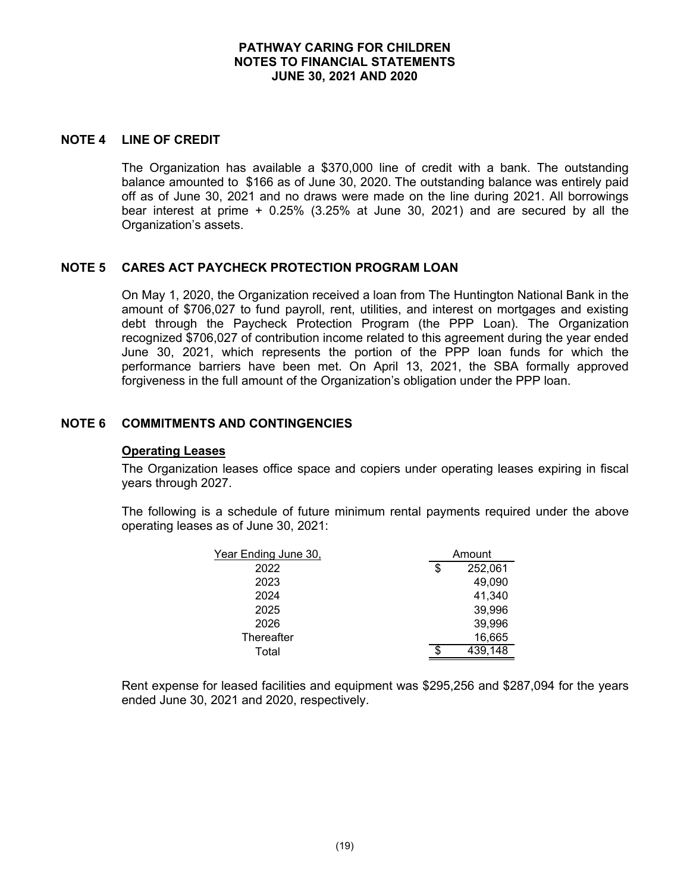#### **NOTE 4 LINE OF CREDIT**

The Organization has available a \$370,000 line of credit with a bank. The outstanding balance amounted to \$166 as of June 30, 2020. The outstanding balance was entirely paid off as of June 30, 2021 and no draws were made on the line during 2021. All borrowings bear interest at prime + 0.25% (3.25% at June 30, 2021) and are secured by all the Organization's assets.

### **NOTE 5 CARES ACT PAYCHECK PROTECTION PROGRAM LOAN**

On May 1, 2020, the Organization received a loan from The Huntington National Bank in the amount of \$706,027 to fund payroll, rent, utilities, and interest on mortgages and existing debt through the Paycheck Protection Program (the PPP Loan). The Organization recognized \$706,027 of contribution income related to this agreement during the year ended June 30, 2021, which represents the portion of the PPP loan funds for which the performance barriers have been met. On April 13, 2021, the SBA formally approved forgiveness in the full amount of the Organization's obligation under the PPP loan.

# **NOTE 6 COMMITMENTS AND CONTINGENCIES**

#### **Operating Leases**

The Organization leases office space and copiers under operating leases expiring in fiscal years through 2027.

The following is a schedule of future minimum rental payments required under the above operating leases as of June 30, 2021:

| Year Ending June 30, | Amount        |  |  |
|----------------------|---------------|--|--|
| 2022                 | \$<br>252,061 |  |  |
| 2023                 | 49,090        |  |  |
| 2024                 | 41,340        |  |  |
| 2025                 | 39,996        |  |  |
| 2026                 | 39,996        |  |  |
| Thereafter           | 16,665        |  |  |
| Total                | 439.148       |  |  |

Rent expense for leased facilities and equipment was \$295,256 and \$287,094 for the years ended June 30, 2021 and 2020, respectively.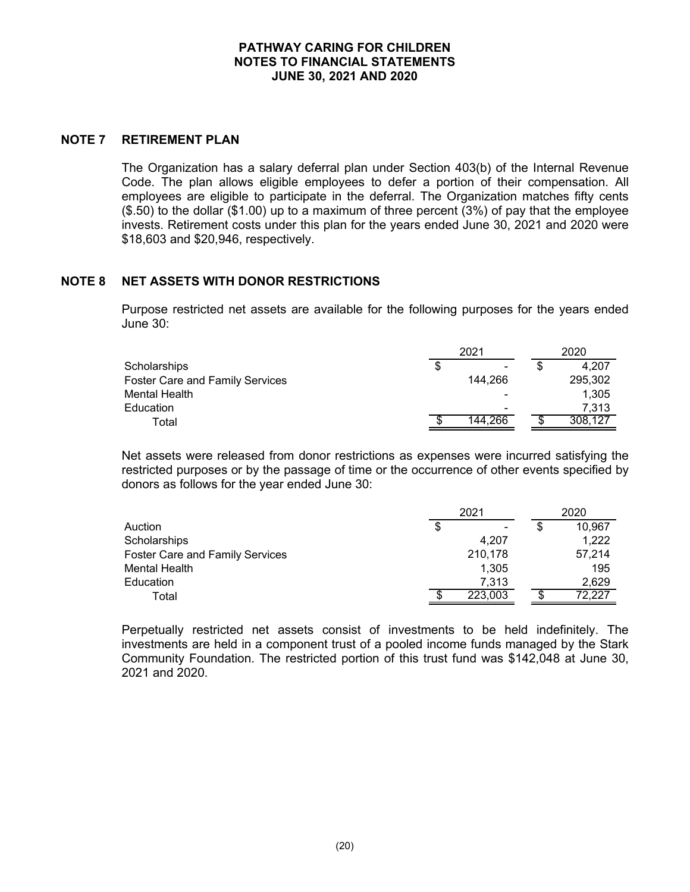#### **NOTE 7 RETIREMENT PLAN**

The Organization has a salary deferral plan under Section 403(b) of the Internal Revenue Code. The plan allows eligible employees to defer a portion of their compensation. All employees are eligible to participate in the deferral. The Organization matches fifty cents  $($ \$.50) to the dollar  $($ \$1.00) up to a maximum of three percent  $(3%)$  of pay that the employee invests. Retirement costs under this plan for the years ended June 30, 2021 and 2020 were \$18,603 and \$20,946, respectively.

# **NOTE 8 NET ASSETS WITH DONOR RESTRICTIONS**

Purpose restricted net assets are available for the following purposes for the years ended June 30:

|                                        |  | 2021    |  | 2020    |  |
|----------------------------------------|--|---------|--|---------|--|
| Scholarships                           |  | ۰       |  | 4.207   |  |
| <b>Foster Care and Family Services</b> |  | 144.266 |  | 295,302 |  |
| Mental Health                          |  |         |  | 1,305   |  |
| Education                              |  | -       |  | 7.313   |  |
| Total                                  |  | 144.266 |  | 308.127 |  |

Net assets were released from donor restrictions as expenses were incurred satisfying the restricted purposes or by the passage of time or the occurrence of other events specified by donors as follows for the year ended June 30:

|                                        |  | 2021    |  | 2020   |  |
|----------------------------------------|--|---------|--|--------|--|
| Auction                                |  |         |  | 10.967 |  |
| Scholarships                           |  | 4.207   |  | 1.222  |  |
| <b>Foster Care and Family Services</b> |  | 210,178 |  | 57,214 |  |
| Mental Health                          |  | 1,305   |  | 195    |  |
| Education                              |  | 7.313   |  | 2,629  |  |
| Total                                  |  | 223,003 |  | 72.227 |  |

Perpetually restricted net assets consist of investments to be held indefinitely. The investments are held in a component trust of a pooled income funds managed by the Stark Community Foundation. The restricted portion of this trust fund was \$142,048 at June 30, 2021 and 2020.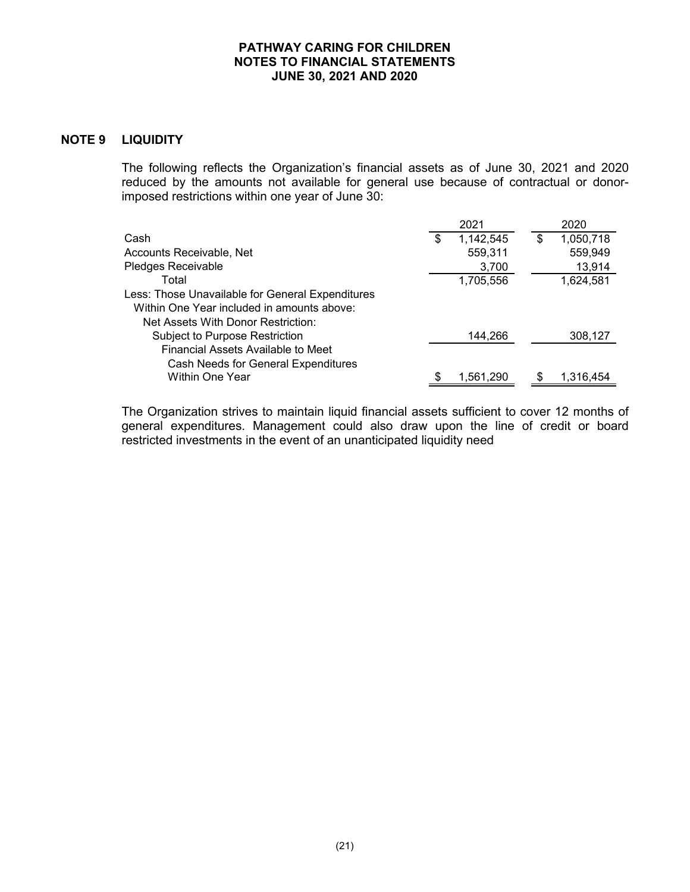### **NOTE 9 LIQUIDITY**

The following reflects the Organization's financial assets as of June 30, 2021 and 2020 reduced by the amounts not available for general use because of contractual or donorimposed restrictions within one year of June 30:

|                                                                                                                                      |   | 2021      | 2020            |
|--------------------------------------------------------------------------------------------------------------------------------------|---|-----------|-----------------|
| Cash                                                                                                                                 | S | 1,142,545 | \$<br>1,050,718 |
| Accounts Receivable, Net                                                                                                             |   | 559,311   | 559,949         |
| Pledges Receivable                                                                                                                   |   | 3,700     | 13,914          |
| Total                                                                                                                                |   | 1,705,556 | 1,624,581       |
| Less: Those Unavailable for General Expenditures<br>Within One Year included in amounts above:<br>Net Assets With Donor Restriction: |   |           |                 |
| <b>Subject to Purpose Restriction</b>                                                                                                |   | 144,266   | 308,127         |
| Financial Assets Available to Meet<br><b>Cash Needs for General Expenditures</b>                                                     |   |           |                 |
| <b>Within One Year</b>                                                                                                               |   | 1,561,290 | 1,316,454       |

The Organization strives to maintain liquid financial assets sufficient to cover 12 months of general expenditures. Management could also draw upon the line of credit or board restricted investments in the event of an unanticipated liquidity need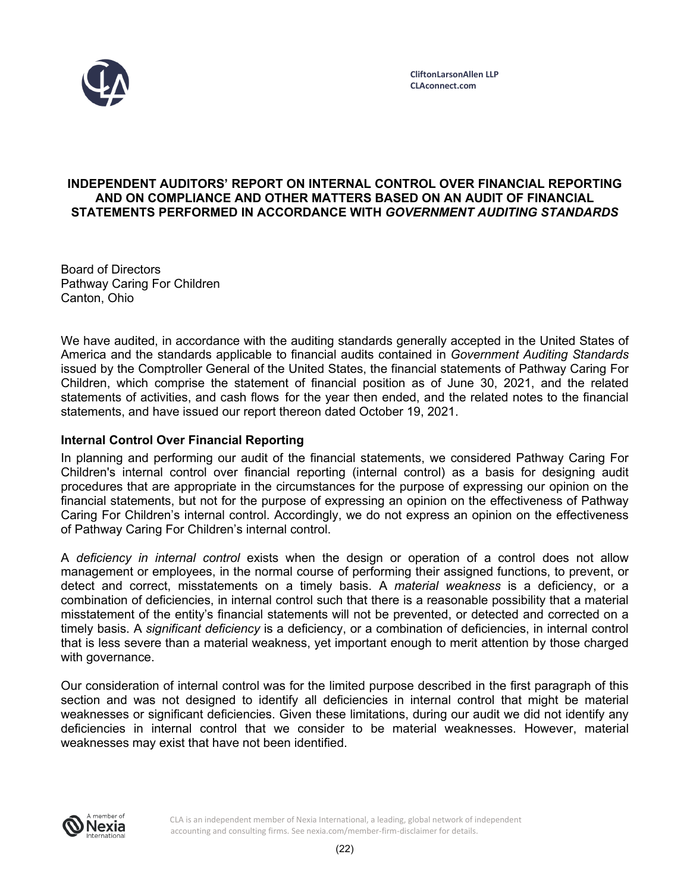

#### **INDEPENDENT AUDITORS' REPORT ON INTERNAL CONTROL OVER FINANCIAL REPORTING AND ON COMPLIANCE AND OTHER MATTERS BASED ON AN AUDIT OF FINANCIAL STATEMENTS PERFORMED IN ACCORDANCE WITH** *GOVERNMENT AUDITING STANDARDS*

Board of Directors Pathway Caring For Children Canton, Ohio

We have audited, in accordance with the auditing standards generally accepted in the United States of America and the standards applicable to financial audits contained in *Government Auditing Standards* issued by the Comptroller General of the United States, the financial statements of Pathway Caring For Children, which comprise the statement of financial position as of June 30, 2021, and the related statements of activities, and cash flows for the year then ended, and the related notes to the financial statements, and have issued our report thereon dated October 19, 2021.

## **Internal Control Over Financial Reporting**

In planning and performing our audit of the financial statements, we considered Pathway Caring For Children's internal control over financial reporting (internal control) as a basis for designing audit procedures that are appropriate in the circumstances for the purpose of expressing our opinion on the financial statements, but not for the purpose of expressing an opinion on the effectiveness of Pathway Caring For Children's internal control. Accordingly, we do not express an opinion on the effectiveness of Pathway Caring For Children's internal control.

A *deficiency in internal control* exists when the design or operation of a control does not allow management or employees, in the normal course of performing their assigned functions, to prevent, or detect and correct, misstatements on a timely basis. A *material weakness* is a deficiency, or a combination of deficiencies, in internal control such that there is a reasonable possibility that a material misstatement of the entity's financial statements will not be prevented, or detected and corrected on a timely basis. A *significant deficiency* is a deficiency, or a combination of deficiencies, in internal control that is less severe than a material weakness, yet important enough to merit attention by those charged with governance.

Our consideration of internal control was for the limited purpose described in the first paragraph of this section and was not designed to identify all deficiencies in internal control that might be material weaknesses or significant deficiencies. Given these limitations, during our audit we did not identify any deficiencies in internal control that we consider to be material weaknesses. However, material weaknesses may exist that have not been identified.



CLA is an independent member of Nexia International, a leading, global network of independent accounting and consulting firms. See nexia.com/member-firm-disclaimer for details.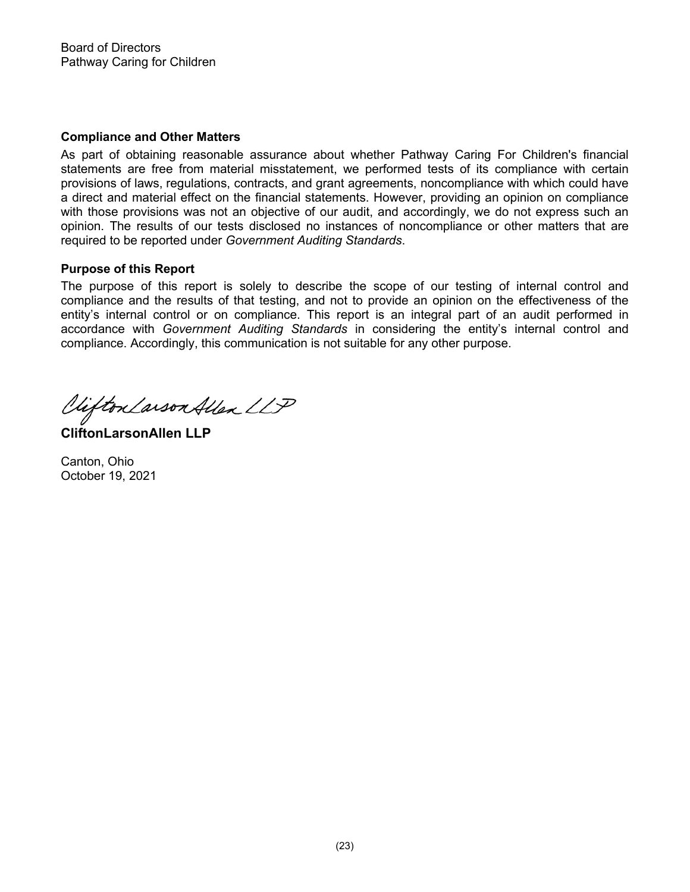#### **Compliance and Other Matters**

As part of obtaining reasonable assurance about whether Pathway Caring For Children's financial statements are free from material misstatement, we performed tests of its compliance with certain provisions of laws, regulations, contracts, and grant agreements, noncompliance with which could have a direct and material effect on the financial statements. However, providing an opinion on compliance with those provisions was not an objective of our audit, and accordingly, we do not express such an opinion. The results of our tests disclosed no instances of noncompliance or other matters that are required to be reported under *Government Auditing Standards*.

## **Purpose of this Report**

The purpose of this report is solely to describe the scope of our testing of internal control and compliance and the results of that testing, and not to provide an opinion on the effectiveness of the entity's internal control or on compliance. This report is an integral part of an audit performed in accordance with *Government Auditing Standards* in considering the entity's internal control and compliance. Accordingly, this communication is not suitable for any other purpose.

Viifton Larson Allen LLP

**CliftonLarsonAllen LLP**

Canton, Ohio October 19, 2021